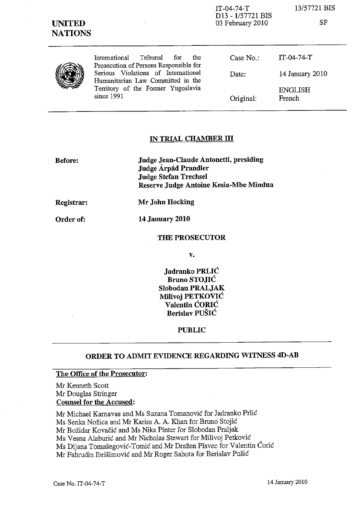| <b>UNITED</b><br><b>NATIONS</b> | $\epsilon$                                                                         | D <sub>13</sub> - 1/57721 BIS<br>03 February 2010 | <b>SF</b>                |
|---------------------------------|------------------------------------------------------------------------------------|---------------------------------------------------|--------------------------|
|                                 | Tribunal<br>International<br>for<br>the.<br>Prosecution of Persons Responsible for | Case No.:                                         | $IT-04-74-T$             |
|                                 | Serious Violations of International<br>Humanitarian Law Committed in the           | Date:                                             | 14 January 2010          |
|                                 | Territory of the Former Yugoslavia<br>since 1991                                   | Original:                                         | <b>ENGLISH</b><br>French |

IT-04-74-T

13/57721 BIS

## **IN TRIAL CHAMBER III**

**Before: Judge Jean-Claude Antonetti, presiding Judge A.rpad Prandler Judge Stefan Trechsel Reserve Judge Antoine Kesia-Mbe Mindua** 

**Registrar:** 

**Order of:** 

**Mr John Hocking 14 January 2010** 

**THE PROSECUTOR** 

**v.** 

**Jadranko PRLIC Bruno STOJIC Slobodan PRALJAK Milivoj PETKOVIC Valentin CORIC Berislav PUSIC** 

**PUBLIC** 

# **ORDER TO ADMIT EVIDENCE REGARDING WITNESS 4D-AB**

#### **The Office of the Prosecutor:**

Mr Kenneth Scott Mr Douglas Stringer **Counsel for the Accused:** 

Mr Michael Karnavas and Ms Suzana Tomanovic for Jadranko Prlic Ms Senka Nožica and Mr Karim A. A. Khan for Bruno Stojić Mr Bozidar Kovacic and Ms Nika Pinter for Slobodan Praljak Ms Vesna Alaburic and Mr Nicholas Stewart for Milivoj Petkovic Ms Dijana Tomasegovic-*Tomic* and Mr Drazen Plavec for Valentin Coric Mr Fahrudin lbrisimovic and Mr Roger Sahota for Berislav Pusic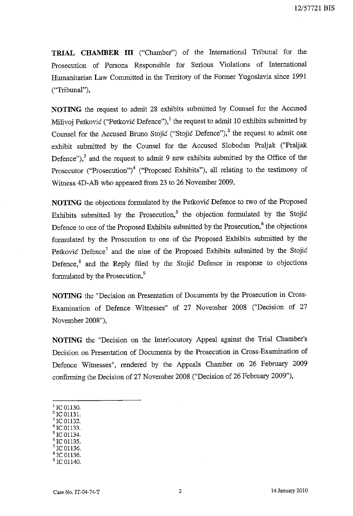**TRIAL CHAMBER III** ("Chamber") of the International Tribunal for the Prosecution of Persons Responsible for Serious Violations of International Humanitarian Law Committed in the Territory of the Former Yugoslavia since 1991 ("Tribunal"),

**NOTING** the request to admit 28 exhibits submitted by Counsel for the Accused Milivoj Petković ("Petković Defence"),<sup>1</sup> the request to admit 10 exhibits submitted by Counsel for the Accused Bruno Stojic ("Stojic Defence"), $2$  the request to admit one exhibit submitted by the Counsel for the Accused Slobodan Praljak ("Praljak Defence"),  $\delta$  and the request to admit 9 new exhibits submitted by the Office of the Prosecutor ("Prosecution")<sup>4</sup> ("Proposed Exhibits"), all relating to the testimony of Witness 4D-AB who appeared from 23 to 26 November 2009,

**NOTING** the objections formulated by the Petkovic Defence to two of the Proposed Exhibits submitted by the Prosecution,<sup>5</sup> the objection formulated by the Stojić Defence to one of the Proposed Exhibits submitted by the Prosecution,<sup>6</sup> the objections formulated by the Prosecution to one of the Proposed Exhibits submitted by the Petkovic Defence<sup>7</sup> and the nine of the Proposed Exhibits submitted by the Stojic Defence, $8$  and the Reply filed by the Stojic Defence in response to objections formulated by the Prosecution,<sup>9</sup>

**NOTING** the "Decision on Presentation of Documents by the Prosecution in Cross-Examination of Defence Witnesses" of 27 November 2008 ("Decision of 27 November 2008"),

**NOTING** the "Decision on the Interlocutory Appeal against the Trial Chamber's Decision on Presentation of Documents by the Prosecution in Cross-Examination of Defence Witnesses", rendered by the Appeals Chamber on 26 February 2009 confirming the Decision of 27 November 2008 ("Decision of 26 February 2009"),

- $^1$  IC 01130.
- $2$  IC 01131. IC 01132.
- IC 01133.
- IC 01134.
- IC 01135.
- <sup>7</sup>re 01136.
- <sup>8</sup>re 01136.
- $^9$  IC 01140.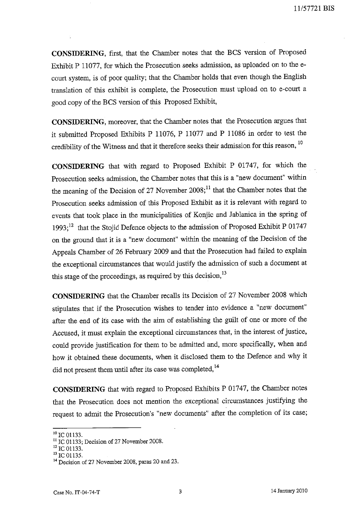**CONSIDERING,** first, that the Chamber notes that the BCS version of Proposed Exhibit P 11077, for which the Prosecution seeks admission, as uploaded on to the ecourt system, is of poor quality; that the Chamber holds that even though the English translation of this exhibit is complete, the Prosecution must up10ad on to e-court a good copy of the BCS version of this Proposed Exhibit,

**CONSIDERING,** moreover, that the Chamber notes that the Prosecution argues that it submitted Proposed Exhibits P 11076, P 11077 and P 11086 in order to test the credibility of the Witness and that it therefore seeks their admission for this reason, <sup>10</sup>

**CONSIDERING** that with regard to Proposed Exhibit P 01747, for which the Prosecution seeks admission, the Chamber notes that this is a "new document" within the meaning of the Decision of 27 November  $2008$ ;<sup>11</sup> that the Chamber notes that the Prosecution seeks admission of this Proposed Exhibit as it is relevant with regard to events that took place in the municipalities of Konjic and Jablanica in the spring of 1993;<sup>12</sup> that the Stojic Defence objects to the admission of Proposed Exhibit P 01747 on the ground that it is a "new document" within the meaning of the Decision of the Appeals Chamber of 26 February 2009 and that the Prosecution had failed to explain the exceptional circumstances that would justify the admission of such a document at this stage of the proceedings, as required by this decision,  $13$ 

**CONSIDERING** that the Chamber recalls its Decision of 27 November 2008 which stipulates that if the Prosecution wishes to tender into evidence a "new document" after the end of its case with the aim of establishing the guilt of one or more of the Accused, it must explain the exceptional circumstances that, in the interest of justice, could provide justification for them to be admitted and, more specifically, when and how it obtained these documents, when it disclosed them to the Defence and why it did not present them until after its case was completed,<sup>14</sup>

**CONSIDERING** that with regard to Proposed Exhibits P 01747, the Chamber notes that the Prosecution does not mention the exceptional circumstances justifying the request to admit the Prosecution's "new documents" after the completion of its case;

 $^{10}$  IC 01133.

<sup>&</sup>lt;sup>11</sup> IC 01133; Decision of 27 November 2008.

 $^{12}$  TC 01133.

 $13$  TC 01135.

<sup>&</sup>lt;sup>14</sup> Decision of 27 November 2008, paras 20 and 23.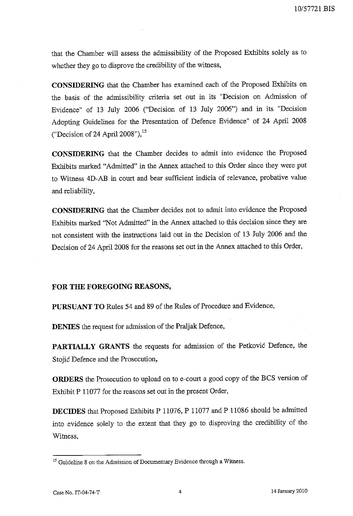that the Chamber will assess the admissibility of the Proposed Exhibits solely as to whether they go to disprove the credibility of the witness,

**CONSIDERING** that the Chamber has examined each of the Proposed Exhibits on the basis of the admissibility criteria set out in its "Decision on Admission of Evidence" of 13 July 2006 ("Decision of 13 July 2006") and in its "Decision Adopting Guidelines for the Presentation of Defence Evidence" of 24 April 2008 ("Decision of 24 April 2008"), 15

**CONSIDERING** that the Chamber decides to admit into evidence the Proposed Exhibits marked "Admitted" in the Annex attached to this Order since they were put to Witness 4D-AB in court and bear sufficient indicia of relevance, probative value and reliability,

**CONSIDERING** that the Chamber decides not to admit into evidence the Proposed Exhibits marked "Not Admitted" in the Annex attached to this decision since they are not consistent with the instructions laid out in the Decision of 13 July 2006 and the Decision of 24 April 2008 for the reasons set out in the Annex attached to this Order,

## **FOR THE FOREGOING REASONS,**

**PURSUANT TO** Rules 54 and 89 of the Rules of Procedure and Evidence,

**DENIES** the request for admission of the Praljak Defence,

**PARTIALLY GRANTS** the requests for admission of the Petkovic Defence, the Stojic Defence and the Prosecution,

**ORDERS** the Prosecution to upload on to e-court a good copy of the BCS version of Exhibit P 11077 for the reasons set out in the present Order,

**DECIDES** that Proposed Exhibits P 11076, P 11077 and P 11086 should be admitted into evidence solely to the extent that they go to disproving the credibility of the Witness,

<sup>&</sup>lt;sup>15</sup> Guideline 8 on the Admission of Documentary Evidence through a Witness.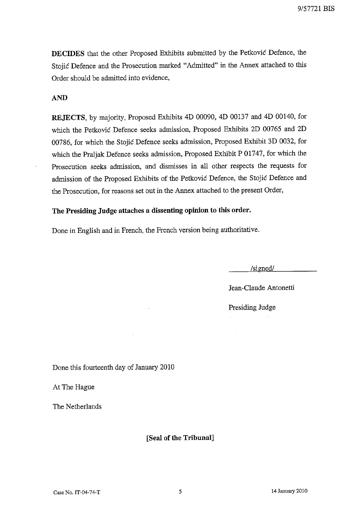**DECIDES** that the other Proposed Exhibits submitted by the Petkovic Defence, the Stojic Defence and the Prosecution marked "Admitted" in the Annex attached to this Order should be admitted into evidence,

# AND

**REJECTS,** by majority, Proposed Exhibits 4D 00090, 4D 00137 and 4D 00140, for which the Petkovic Defence seeks admission, Proposed Exhibits 2D 00765 and 2D 00786, for which the Stojic Defence seeks admission, Proposed Exhibit 3D 0032, for which the Pra1jak Defence seeks admission, Proposed Exhibit P 01747, for which the Prosecution seeks admission, and dismisses in all other respects the requests for admission of the Proposed Exhibits of the Petkovic Defence, the Stojic Defence and the Prosecution, for reasons set out in the Annex attached to the present Order,

# **The Presiding Judge attaches a dissenting opinion to this order.**

Done in English and in French, the French version being authoritative.

/signed/

Jean-C1aude Antonetti

Presiding Judge  $\sim$   $\sim$ 

Done this fourteenth day of January 2010

At The Hague

The Netherlands

**[Seal of the Tribunal]**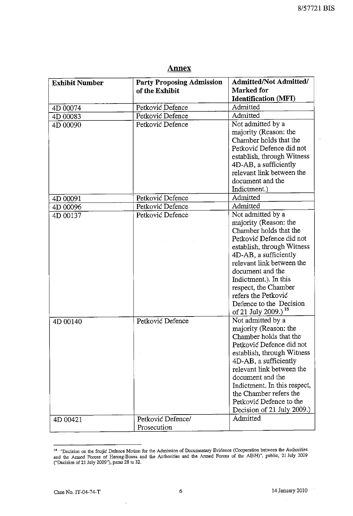| m<br>Г |  |
|--------|--|
|        |  |

| <b>Exhibit Number</b> | <b>Party Proposing Admission</b> | <b>Admitted/Not Admitted/</b>   |
|-----------------------|----------------------------------|---------------------------------|
|                       | of the Exhibit                   | Marked for                      |
|                       |                                  | <b>Identification (MFI)</b>     |
| 4D 00074              | Petković Defence                 | Admitted                        |
| 4D 00083              | Petković Defence                 | Admitted                        |
| 4D 00090              | Petković Defence                 | Not admitted by a               |
|                       |                                  | majority (Reason: the           |
|                       |                                  | Chamber holds that the          |
|                       |                                  | Petković Defence did not        |
|                       |                                  | establish, through Witness      |
|                       |                                  | 4D-AB, a sufficiently           |
|                       |                                  | relevant link between the       |
|                       |                                  | document and the                |
|                       |                                  | Indictment.)                    |
| 4D 00091              | Petković Defence                 | Admitted                        |
| 4D 00096              | Petković Defence                 | Admitted                        |
| 4D 00137              | Petković Defence                 | Not admitted by a               |
|                       |                                  | majority (Reason: the           |
|                       |                                  | Chamber holds that the          |
|                       |                                  | Petković Defence did not        |
|                       |                                  | establish, through Witness      |
|                       |                                  | 4D-AB, a sufficiently           |
|                       |                                  | relevant link between the       |
|                       |                                  | document and the                |
|                       |                                  | Indictment.). In this           |
|                       |                                  | respect, the Chamber            |
|                       |                                  | refers the Petković             |
|                       |                                  | Defence to the Decision         |
|                       |                                  | of 21 July 2009.) <sup>16</sup> |
| 4D 00140              | Petković Defence                 | Not admitted by a               |
|                       |                                  | majority (Reason: the           |
|                       |                                  | Chamber holds that the          |
|                       |                                  | Petković Defence did not        |
|                       |                                  | establish, through Witness      |
|                       |                                  | 4D-AB, a sufficiently           |
|                       |                                  | relevant link between the       |
|                       |                                  | document and the                |
|                       |                                  | Indictment. In this respect,    |
|                       |                                  | the Chamber refers the          |
|                       |                                  | Petković Defence to the         |
|                       |                                  | Decision of 21 July 2009.)      |
| 4D 00421              | Petković Defence/                | Admitted                        |
|                       | Prosecution                      |                                 |

**l6 "Decision on the Stojic Defence Motion for the Admission of Documentary Evidence (Cooperation between the Authorities and the Armed Forces of Herceg-Bosna and the Authorities and the Armed Forces of the ABiH)", public, 21 July 2009 ("Decision of2l July 2009"), paras 28 to 32.** 

l,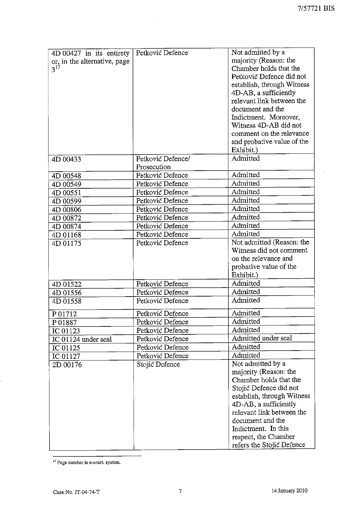$\overline{\phantom{a}}$ 

| 4D 00427 in its entirety     | Petković Defence  | Not admitted by a          |
|------------------------------|-------------------|----------------------------|
| or, in the alternative, page |                   | majority (Reason: the      |
| $3^{17}$                     |                   | Chamber holds that the     |
|                              |                   | Petković Defence did not   |
|                              |                   | establish, through Witness |
|                              |                   | 4D-AB, a sufficiently      |
|                              |                   | relevant link between the  |
|                              |                   | document and the           |
|                              |                   | Indictment. Moreover,      |
|                              |                   | Witness 4D-AB did not      |
|                              |                   | comment on the relevance   |
|                              |                   | and probative value of the |
|                              |                   | Exhibit.)                  |
| 4D 00433                     | Petković Defence/ | Admitted                   |
|                              | Prosecution       |                            |
| 4D 00548                     | Petković Defence  | Admitted                   |
| 4D 00549                     | Petković Defence  | Admitted                   |
| 4D 00551                     | Petković Defence  | Admitted                   |
| 4D 00599                     | Petković Defence  | Admitted                   |
| 4D 00806                     | Petković Defence  | Admitted                   |
| 4D 00872                     | Petković Defence  | Admitted                   |
| 4D 00874                     | Petković Defence  | Admitted                   |
| 4D 01168                     | Petković Defence  | Admitted                   |
| 4D 01175                     | Petković Defence  | Not admitted (Reason: the  |
|                              |                   | Witness did not comment    |
|                              |                   | on the relevance and       |
|                              |                   | probative value of the     |
|                              |                   | Exhibit.)                  |
| 4D 01522                     | Petković Defence  | Admitted                   |
| 4D 01556                     | Petković Defence  | Admitted                   |
| 4D 01558                     | Petković Defence  | Admitted                   |
| P 01712                      | Petković Defence  | Admitted                   |
| P01887                       | Petković Defence  | Admitted                   |
| IC 01123                     | Petković Defence  | Admitted                   |
| IC 01124 under seal          | Petković Defence  | Admitted under seal        |
| IC 01125                     | Petković Defence  | Admitted                   |
| IC 01127                     | Petković Defence  | Admitted                   |
| 2D 00176                     | Stojić Defence    | Not admitted by a          |
|                              |                   | majority (Reason: the      |
|                              |                   | Chamber holds that the     |
|                              |                   | Stojić Defence did not     |
|                              |                   | establish, through Witness |
|                              |                   | 4D-AB, a sufficiently      |
|                              |                   | relevant link between the  |
|                              |                   | document and the           |
|                              |                   | Indictment. In this        |
|                              |                   | respect, the Chamber       |
|                              |                   | refers the Stojić Defence  |

<sup>17</sup> Page number in e-court. system.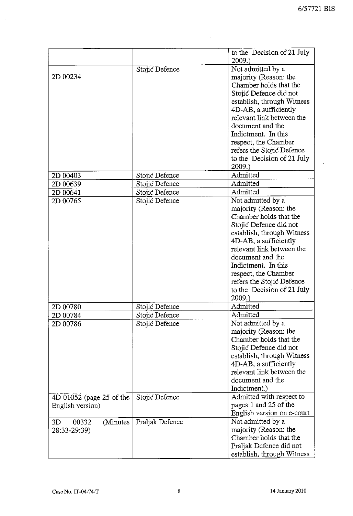$\bar{z}$ 

|                          |                 | to the Decision of 21 July |
|--------------------------|-----------------|----------------------------|
|                          |                 | 2009.                      |
|                          | Stojić Defence  | Not admitted by a          |
| 2D 00234                 |                 | majority (Reason: the      |
|                          |                 | Chamber holds that the     |
|                          |                 | Stojić Defence did not     |
|                          |                 | establish, through Witness |
|                          |                 | 4D-AB, a sufficiently      |
|                          |                 | relevant link between the  |
|                          |                 | document and the           |
|                          |                 | Indictment. In this        |
|                          |                 | respect, the Chamber       |
|                          |                 | refers the Stojić Defence  |
|                          |                 | to the Decision of 21 July |
|                          |                 | 2009.                      |
| 2D 00403                 | Stojić Defence  | Admitted                   |
| 2D 00639                 | Stojić Defence  | Admitted                   |
| 2D 00641                 | Stojić Defence  | Admitted                   |
| 2D 00765                 | Stojić Defence  | Not admitted by a          |
|                          |                 | majority (Reason: the      |
|                          |                 | Chamber holds that the     |
|                          |                 | Stojić Defence did not     |
|                          |                 | establish, through Witness |
|                          |                 | 4D-AB, a sufficiently      |
|                          |                 | relevant link between the  |
|                          |                 | document and the           |
|                          |                 | Indictment. In this        |
|                          |                 | respect, the Chamber       |
|                          |                 | refers the Stojić Defence  |
|                          |                 | to the Decision of 21 July |
|                          |                 | 2009.                      |
| 2D 00780                 | Stojić Defence  | Admitted                   |
| 2D 00784                 | Stojić Defence  | Admitted                   |
| 2D 00786                 | Stojić Defence  | Not admitted by a          |
|                          |                 | majority (Reason: the      |
|                          |                 | Chamber holds that the     |
|                          |                 | Stojić Defence did not     |
|                          |                 | establish, through Witness |
|                          |                 | 4D-AB, a sufficiently      |
|                          |                 | relevant link between the  |
|                          |                 | document and the           |
|                          |                 | Indictment.)               |
| 4D 01052 (page 25 of the | Stojić Defence  | Admitted with respect to   |
| English version)         |                 | pages 1 and 25 of the      |
|                          |                 | English version on e-court |
| 3D<br>00332<br>(Minutes) | Praljak Defence | Not admitted by a          |
| 28:33-29:39)             |                 | majority (Reason: the      |
|                          |                 | Chamber holds that the     |
|                          |                 | Praljak Defence did not    |
|                          |                 | establish, through Witness |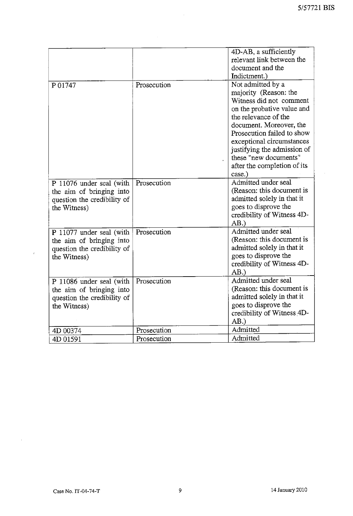$\mathcal{A}^{\pm}$ 

|                                                                                                     |             | 4D-AB, a sufficiently<br>relevant link between the<br>document and the<br>Indictment.)                                                                                                                                                                                                                             |
|-----------------------------------------------------------------------------------------------------|-------------|--------------------------------------------------------------------------------------------------------------------------------------------------------------------------------------------------------------------------------------------------------------------------------------------------------------------|
| P 01747                                                                                             | Prosecution | Not admitted by a<br>majority (Reason: the<br>Witness did not comment<br>on the probative value and<br>the relevance of the<br>document. Moreover, the<br>Prosecution failed to show<br>exceptional circumstances<br>justifying the admission of<br>these "new documents"<br>after the completion of its<br>case.) |
| P 11076 under seal (with<br>the aim of bringing into<br>question the credibility of<br>the Witness) | Prosecution | Admitted under seal<br>(Reason: this document is<br>admitted solely in that it<br>goes to disprove the<br>credibility of Witness 4D-<br>AB.                                                                                                                                                                        |
| P 11077 under seal (with<br>the aim of bringing into<br>question the credibility of<br>the Witness) | Prosecution | Admitted under seal<br>(Reason: this document is<br>admitted solely in that it<br>goes to disprove the<br>credibility of Witness 4D-<br>AB.                                                                                                                                                                        |
| P 11086 under seal (with<br>the aim of bringing into<br>question the credibility of<br>the Witness) | Prosecution | Admitted under seal<br>(Reason: this document is<br>admitted solely in that it<br>goes to disprove the<br>credibility of Witness 4D-<br>AB.                                                                                                                                                                        |
| 4D 00374                                                                                            | Prosecution | Admitted                                                                                                                                                                                                                                                                                                           |
| 4D 01591                                                                                            | Prosecution | Admitted                                                                                                                                                                                                                                                                                                           |

 $\sim$ 

 $\mathcal{L}_{\mathcal{L}}$ 

 $\hat{\mathbf{v}}$ 

 $\sim 10^7$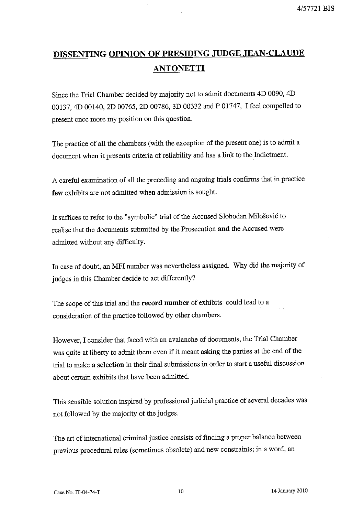# **DISSENTING OPINION OF PRESIDING JUDGE .TEAN·CLAUDE ANTONETTI**

Since the Trial Chamber decided by majority not to admit documents 4D 0090, 4D 00137, 4D 00140, 2D 00765, 2D 00786, 3D 00332 and P 01747, I feel compelled to present once more my position on this question.

The practice of all the chambers (with the exception of the present one) is to admit a document when it presents criteria of reliability and has a link to the Indictment.

A careful examination of all the preceding and ongoing trials confirms that in practice few exhibits are not admitted when admission is sought.

It suffices to refer to the "symbolic" trial of the Accused Slobodan Milosevic to realise that the documents submitted by the Prosecution **and** the Accused were admitted without any difficulty.

In case of doubt, an MFI number was nevertheless assigned. Why did the majority of judges in this Chamber decide to act differently?

The scope of this trial and the **record number** of exhibits could lead to a consideration of the practice followed by other chambers.

However, I consider that faced with an avalanche of documents, the Trial Chamber was quite at liberty to admit them even if it meant asking the parties at the end of the trial to make **a selection** in their final submissions in order to start a useful discussion about certain exhibits that have been admitted.

This sensible solution inspired by professional judicial practice of several decades was not followed by the majority of the judges.

The art of international criminal justice consists of finding a proper balance between previous procedural rules (sometimes obsolete) and new constraints; in a word, an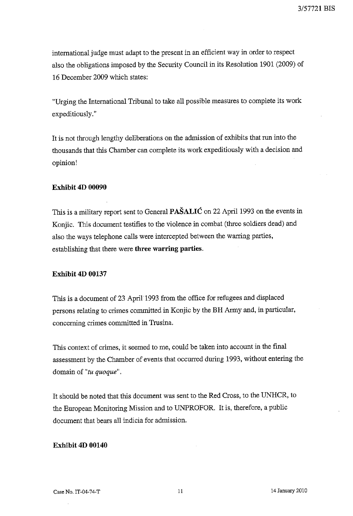international judge must adapt to the present in an efficient way in order to respect also the obligations imposed by the Security Council in its Resolution 1901 (2009) of **16** December 2009 which states:

"Urging the International Tribunal to take all possible measures to complete its work expeditiously. "

It is not through lengthy deliberations on the admission of exhibits that run into the thousands that this Chamber can complete its work expeditiously with a decision and opinion!

#### **Exhibit 4D 00090**

This is a military report sent to General **PASALlC** on 22 April 1993 on the events in Konjic. This document testifies to the violence in combat (three soldiers dead) and also the ways telephone calls were intercepted between the warring parties, establishing that there were **three warring parties.** 

#### **Exhibit 4D 00137**

This is a document of 23 April 1993 from the office for refugees **and** displaced persons relating to crimes committed in Konjic by the **BR** Army and, in particular, concerning crimes committed in Trusina.

This context of crimes, it seemed to me, could be taken into account in the final assessment by the Chamber of events that occurred during 1993, without entering the domain of *"tu quoque" .* 

It should be noted that this document was sent to the Red Cross, to the UNHCR, to the European Monitoring Mission and to UNPROFOR. It is, therefore, a public document that bears all indicia for admission.

### **Exhibit 4D 00140**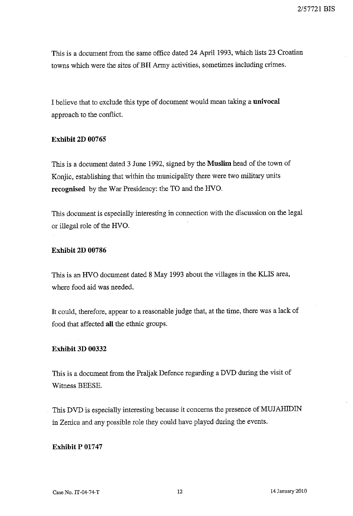This is a document from the same office dated 24 April 1993, which lists 23 Croatian towns which were the sites ofBH Army activities, sometimes including crimes.

I believe that to exclude this type of document would mean taking a **univocal**  approach to the conflict.

# **Exhibit 2D 00765**

This is a document dated 3 June 1992, signed by the **Muslim** head of the town of Konjic, establishing that within the municipality there were two military units **recognised** by the War Presidency: the TO and the HVO.

This document is especially interesting in connection with the discussion on the legal or illegal role of the HVO.

# **Exhibit 2D 00786**

This is an HVO document dated 8 May 1993 about the villages in the KLIS area, where food aid was needed.

It could, therefore, appear to a reasonable judge that, at the time, there was a lack of food that affected **all** the ethnic groups.

## **Exhibit 3D 00332**

This is a document from the PraIjak Defence regarding a DVD during the visit of Witness BEESE.

This DVD is especially interesting because it concerns the presence of MUJAHIDIN in Zenica and any possible role they could have played during the events.

# **Exhibit P 01747**